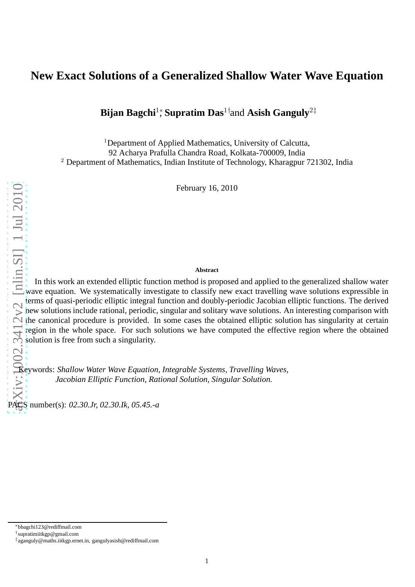# **New Exact Solutions of a Generalized Shallow Water Wave Equation**

**Bijan Bagchi½ Supratim Das<sup>1†</sup>and Asish Ganguly<sup>2‡</sup>** 

<sup>1</sup>Department of Applied Mathematics, University of Calcutta, 92 Acharya Prafulla Chandra Road, Kolkata-700009, India <sup>2</sup> Department of Mathematics, Indian Institute of Technology, Kharagpur 721302, India

February 16, 2010

#### **Abstract**

In this work an extended elliptic function method is proposed and applied to the generalized shallow water wave equation. We systematically investigate to classify new exact travelling wave solutions expressible in terms of quasi-periodic elliptic integral function and doubly-periodic Jacobian elliptic functions. The derived new solutions include rational, periodic, singular and solitary wave solutions. An interesting comparison with the canonical procedure is provided. In some cases the obtained elliptic solution has singularity at certain region in the whole space. For such solutions we have computed the effective region where the obtained solution is free from such a singularity.

Keywords: *Shallow Water Wave Equation, Integrable Systems, Travelling Waves, Jacobian Elliptic Function, Rational Solution, Singular Solution.*

PACS number(s): *02.30.Jr, 02.30.Ik, 05.45.-a*

<sup>∗</sup>bbagchi123@rediffmail.com

<sup>†</sup> supratimiitkgp@gmail.com

<sup>‡</sup> aganguly@maths.iitkgp.ernet.in, gangulyasish@rediffmail.com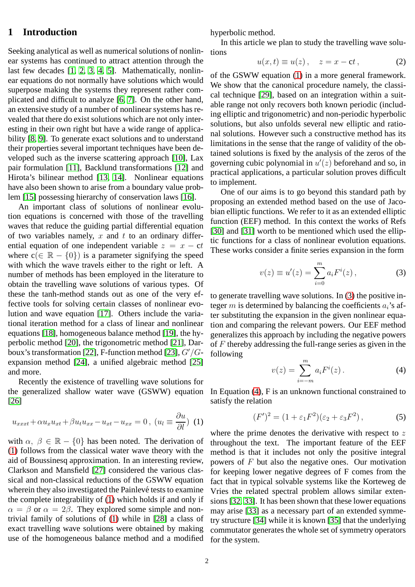# **1 Introduction**

Seeking analytical as well as numerical solutions of nonlinear systems has continued to attract attention through the last few decades [\[1,](#page-7-0) [2,](#page-7-1) [3,](#page-7-2) [4,](#page-7-3) [5\]](#page-7-4). Mathematically, nonlinear equations do not normally have solutions which would superpose making the systems they represent rather complicated and difficult to analyze [\[6,](#page-7-5) [7\]](#page-7-6). On the other hand, an extensive study of a number of nonlinear systems has revealed that there do exist solutions which are not only interesting in their own right but have a wide range of applicability [\[8,](#page-7-7) [9\]](#page-7-8). To generate exact solutions and to understand their properties several important techniques have been developed such as the inverse scattering approach [\[10\]](#page-7-9), Lax pair formulation [\[11\]](#page-7-10), Backlund transformations [\[12\]](#page-7-11) and Hirota's bilinear method [\[13,](#page-7-12) [14\]](#page-7-13). Nonlinear equations have also been shown to arise from a boundary value problem [\[15\]](#page-7-14) possessing hierarchy of conservation laws [\[16\]](#page-7-15).

An important class of solutions of nonlinear evolution equations is concerned with those of the travelling waves that reduce the guiding partial differential equation of two variables namely,  $x$  and  $t$  to an ordinary differential equation of one independent variable  $z = x - ct$ where  $c(\in \mathbb{R} - \{0\})$  is a parameter signifying the speed with which the wave travels either to the right or left. A number of methods has been employed in the literature to obtain the travelling wave solutions of various types. Of these the tanh-method stands out as one of the very effective tools for solving certain classes of nonlinear evolution and wave equation [\[17\]](#page-7-16). Others include the variational iteration method for a class of linear and nonlinear equations [\[18\]](#page-7-17), homogeneous balance method [\[19\]](#page-7-18), the hyperbolic method [\[20\]](#page-7-19), the trigonometric method [\[21\]](#page-7-20), Dar-boux's transformation [\[22\]](#page-7-21), F-function method [\[23\]](#page-7-22),  $G'/G$ expansion method [\[24\]](#page-8-0), a unified algebraic method [\[25\]](#page-8-1) and more.

Recently the existence of travelling wave solutions for the generalized shallow water wave (GSWW) equation [\[26\]](#page-8-2)

<span id="page-1-0"></span>
$$
u_{xxxt} + \alpha u_x u_{xt} + \beta u_t u_{xx} - u_{xt} - u_{xx} = 0, (u_l \equiv \frac{\partial u}{\partial l}) \tag{1}
$$

with  $\alpha, \beta \in \mathbb{R} - \{0\}$  has been noted. The derivation of [\(1\)](#page-1-0) follows from the classical water wave theory with the aid of Boussinesq approximation. In an interesting review, Clarkson and Mansfield [\[27\]](#page-8-3) considered the various classical and non-classical reductions of the GSWW equation wherein they also investigated the Painlevé tests to examine the complete integrability of [\(1\)](#page-1-0) which holds if and only if  $\alpha = \beta$  or  $\alpha = 2\beta$ . They explored some simple and nontrivial family of solutions of [\(1\)](#page-1-0) while in [\[28\]](#page-8-4) a class of exact travelling wave solutions were obtained by making use of the homogeneous balance method and a modified hyperbolic method.

In this article we plan to study the travelling wave solutions

<span id="page-1-4"></span>
$$
u(x,t) \equiv u(z), \quad z = x - ct,
$$
 (2)

of the GSWW equation [\(1\)](#page-1-0) in a more general framework. We show that the canonical procedure namely, the classical technique [\[29\]](#page-8-5), based on an integration within a suitable range not only recovers both known periodic (including elliptic and trigonometric) and non-periodic hyperbolic solutions, but also unfolds several new elliptic and rational solutions. However such a constructive method has its limitations in the sense that the range of validity of the obtained solutions is fixed by the analysis of the zeros of the governing cubic polynomial in  $u'(z)$  beforehand and so, in practical applications, a particular solution proves difficult to implement.

One of our aims is to go beyond this standard path by proposing an extended method based on the use of Jacobian elliptic functions. We refer to it as an extended elliptic function (EEF) method. In this context the works of Refs [\[30\]](#page-8-6) and [\[31\]](#page-8-7) worth to be mentioned which used the elliptic functions for a class of nonlinear evolution equations. These works consider a finite series expansion in the form

<span id="page-1-1"></span>
$$
v(z) \equiv u'(z) = \sum_{i=0}^{m} a_i F^i(z), \qquad (3)
$$

to generate travelling wave solutions. In [\(3\)](#page-1-1) the positive integer m is determined by balancing the coefficients  $a_i$ 's after substituting the expansion in the given nonlinear equation and comparing the relevant powers. Our EEF method generalizes this approach by including the negative powers of F thereby addressing the full-range series as given in the following

<span id="page-1-2"></span>
$$
v(z) = \sum_{i=-m}^{m} a_i F^i(z).
$$
 (4)

In Equation [\(4\)](#page-1-2), F is an unknown functional constrained to satisfy the relation

<span id="page-1-3"></span>
$$
(F')^2 = (1 + \varepsilon_1 F^2)(\varepsilon_2 + \varepsilon_3 F^2), \tag{5}
$$

where the prime denotes the derivative with respect to  $z$ throughout the text. The important feature of the EEF method is that it includes not only the positive integral powers of F but also the negative ones. Our motivation for keeping lower negative degrees of F comes from the fact that in typical solvable systems like the Korteweg de Vries the related spectral problem allows similar extensions [\[32,](#page-8-8) [33\]](#page-8-9). It has been shown that these lower equations may arise [\[33\]](#page-8-9) as a necessary part of an extended symmetry structure [\[34\]](#page-8-10) while it is known [\[35\]](#page-8-11) that the underlying commutator generates the whole set of symmetry operators for the system.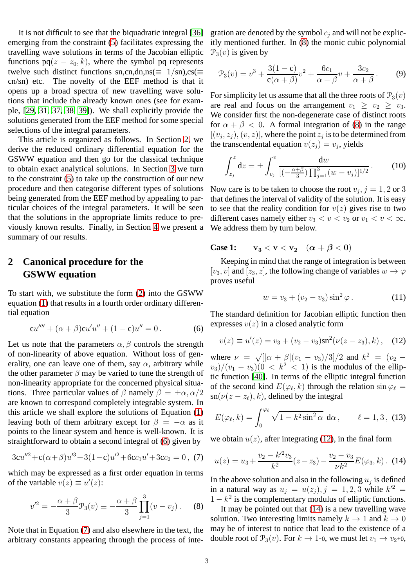It is not difficult to see that the biquadratic integral [\[36\]](#page-8-12) emerging from the constraint [\(5\)](#page-1-3) facilitates expressing the travelling wave solutions in terms of the Jacobian elliptic functions  $pq(z - z_0, k)$ , where the symbol pq represents twelve such distinct functions sn,cn,dn,ns( $\equiv 1/\text{sn}$ ),cs( $\equiv$ cn/sn) etc. The novelty of the EEF method is that it opens up a broad spectra of new travelling wave solutions that include the already known ones (see for example, [\[29,](#page-8-5) [31,](#page-8-7) [37,](#page-8-13) [38,](#page-8-14) [39\]](#page-8-15)). We shall explicitly provide the solutions generated from the EEF method for some special selections of the integral parameters.

This article is organized as follows. In Section [2,](#page-2-0) we derive the reduced ordinary differential equation for the GSWW equation and then go for the classical technique to obtain exact analytical solutions. In Section [3](#page-3-0) we turn to the constraint [\(5\)](#page-1-3) to take up the construction of our new procedure and then categorise different types of solutions being generated from the EEF method by appealing to particular choices of the integral parameters. It will be seen that the solutions in the appropriate limits reduce to previously known results. Finally, in Section [4](#page-7-23) we present a summary of our results.

# <span id="page-2-0"></span>**2 Canonical procedure for the GSWW equation**

To start with, we substitute the form [\(2\)](#page-1-4) into the GSWW equation [\(1\)](#page-1-0) that results in a fourth order ordinary differential equation

<span id="page-2-1"></span>
$$
cu'''' + (\alpha + \beta)cu'u'' + (1 - c)u'' = 0.
$$
 (6)

Let us note that the parameters  $\alpha$ ,  $\beta$  controls the strength of non-linearity of above equation. Without loss of generality, one can leave one of them, say  $\alpha$ , arbitrary while the other parameter  $\beta$  may be varied to tune the strength of non-linearity appropriate for the concerned physical situations. Three particular values of  $\beta$  namely  $\beta = \pm \alpha, \alpha/2$ are known to correspond completely integrable system. In this article we shall explore the solutions of Equation [\(1\)](#page-1-0) leaving both of them arbitrary except for  $\beta = -\alpha$  as it points to the linear system and hence is well-known. It is straightforward to obtain a second integral of [\(6\)](#page-2-1) given by

<span id="page-2-2"></span>
$$
3cu''^{2} + c(\alpha + \beta)u'^{3} + 3(1-c)u'^{2} + 6cc_{1}u' + 3cc_{2} = 0, (7)
$$

which may be expressed as a first order equation in terms of the variable  $v(z) \equiv u'(z)$ :

<span id="page-2-3"></span>
$$
v'^{2} = -\frac{\alpha + \beta}{3} \mathcal{P}_{3}(v) \equiv -\frac{\alpha + \beta}{3} \prod_{j=1}^{3} (v - v_{j}).
$$
 (8)

Note that in Equation [\(7\)](#page-2-2) and also elsewhere in the text, the arbitrary constants appearing through the process of integration are denoted by the symbol  $c_j$  and will not be explicitly mentioned further. In [\(8\)](#page-2-3) the monic cubic polynomial  $\mathcal{P}_3(v)$  is given by

<span id="page-2-7"></span>
$$
\mathcal{P}_3(v) = v^3 + \frac{3(1 - c)}{c(\alpha + \beta)}v^2 + \frac{6c_1}{\alpha + \beta}v + \frac{3c_2}{\alpha + \beta}.
$$
 (9)

For simplicity let us assume that all the three roots of  $\mathcal{P}_3(v)$ are real and focus on the arrangement  $v_1 \ge v_2 \ge v_3$ . We consider first the non-degenerate case of distinct roots for  $\alpha + \beta < 0$ . A formal integration of [\(8\)](#page-2-3) in the range  $[(v_j, z_j), (v, z)]$ , where the point  $z_j$  is to be determined from the transcendental equation  $v(z_j) = v_j$ , yields

<span id="page-2-6"></span>
$$
\int_{z_j}^{z} dz = \pm \int_{v_j}^{v} \frac{dw}{[(-\frac{\alpha+\beta}{3}) \prod_{j=1}^{3} (w - v_j)]^{1/2}}.
$$
 (10)

Now care is to be taken to choose the root  $v_j$ ,  $j = 1, 2$  or 3 that defines the interval of validity of the solution. It is easy to see that the reality condition for  $v(z)$  gives rise to two different cases namely either  $v_3 < v < v_2$  or  $v_1 < v < \infty$ . We address them by turn below.

**Case 1:**  $v_3 < v < v_2$   $(\alpha + \beta < 0)$ 

Keeping in mind that the range of integration is between [v<sub>3</sub>, v] and [z<sub>3</sub>, z], the following change of variables  $w \to \varphi$ proves useful

$$
w = v_3 + (v_2 - v_3)\sin^2\varphi.
$$
 (11)

The standard definition for Jacobian elliptic function then expresses  $v(z)$  in a closed analytic form

<span id="page-2-4"></span>
$$
v(z) \equiv u'(z) = v_3 + (v_2 - v_3)\mathrm{sn}^2(\nu(z - z_3), k), \quad (12)
$$

where  $\nu = \sqrt{[(\alpha + \beta](v_1 - v_3)/3]/2}$  and  $k^2 = (v_2 - \beta)(v_1 - v_3)/3$ where  $v_3$   $\sqrt{v_1 \alpha + \beta (v_1 - v_3)}$  ( $v_2$  and  $v_3$ )  $\sqrt{v_2 - v_3}$  ( $v_1 - v_3$ )( $0 < k^2 < 1$ ) is the modulus of the elliptic function [\[40\]](#page-8-16). In terms of the elliptic integral function of the second kind  $E(\varphi_{\ell}, k)$  through the relation  $\sin \varphi_{\ell} =$  $\mathrm{sn}(\nu(z-z_\ell),k)$ , defined by the integral

$$
E(\varphi_{\ell}, k) = \int_0^{\varphi_{\ell}} \sqrt{1 - k^2 \sin^2 \alpha} \, d\alpha, \qquad \ell = 1, 3, (13)
$$

we obtain  $u(z)$ , after integrating [\(12\)](#page-2-4), in the final form

<span id="page-2-5"></span>
$$
u(z) = u_3 + \frac{v_2 - k'^2 v_3}{k^2} (z - z_3) - \frac{v_2 - v_3}{\nu k^2} E(\varphi_3, k). \tag{14}
$$

In the above solution and also in the following  $u_j$  is defined in a natural way as  $u_j = u(z_j)$ ,  $j = 1, 2, 3$  while  $k^2 =$  $1 - k^2$  is the complementary modulus of elliptic functions.

It may be pointed out that [\(14\)](#page-2-5) is a new travelling wave solution. Two interesting limits namely  $k \to 1$  and  $k \to 0$ may be of interest to notice that lead to the existence of a double root of  $\mathcal{P}_3(v)$ . For  $k \to 1$ -0, we must let  $v_1 \to v_2+0$ ,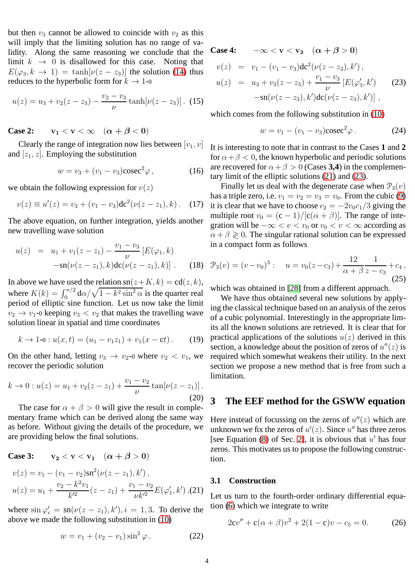but then  $v_3$  cannot be allowed to coincide with  $v_2$  as this will imply that the limiting solution has no range of validity. Along the same reasoning we conclude that the limit  $k \rightarrow 0$  is disallowed for this case. Noting that  $E(\varphi_3, k \to 1) = \tanh[\nu(z - z_3)]$  the solution [\(14\)](#page-2-5) thus reduces to the hyperbolic form for  $k \to 1$ -0

<span id="page-3-4"></span>
$$
u(z) = u_3 + v_2(z - z_3) - \frac{v_2 - v_3}{\nu} \tanh[\nu(z - z_3)]. \tag{15}
$$

**Case 2:**  $v_1 < v < \infty$   $(\alpha + \beta < 0)$ 

Clearly the range of integration now lies between  $[v_1, v]$ and  $[z_1, z]$ . Employing the substitution

$$
w = v_3 + (v_1 - v_3)\csc^2\varphi\,,\tag{16}
$$

we obtain the following expression for  $v(z)$ 

$$
v(z) \equiv u'(z) = v_3 + (v_1 - v_3) \mathrm{d} \mathrm{c}^2 (\nu (z - z_1), k). \quad (17)
$$

The above equation, on further integration, yields another new travelling wave solution

$$
u(z) = u_1 + v_1(z - z_1) - \frac{v_1 - v_3}{\nu} [E(\varphi_1, k) - \operatorname{sn}(\nu(z - z_1), k) \operatorname{dc}(\nu(z - z_1), k)] . \tag{18}
$$

In above we have used the relation  $sn(z+K, k) = cd(z, k),$ where  $K(k) = \int_0^{\pi/2} d\alpha / \sqrt{1 - k^2 \sin^2 \alpha}$  is the quarter real period of elliptic sine function. Let us now take the limit  $v_2 \rightarrow v_1$ -0 keeping  $v_3 < v_2$  that makes the travelling wave solution linear in spatial and time coordinates

<span id="page-3-6"></span>
$$
k \to 1\text{-}0: u(x,t) = (u_1 - v_1 z_1) + v_1(x - ct).
$$
 (19)

On the other hand, letting  $v_3 \rightarrow v_2$ -0 where  $v_2 < v_1$ , we recover the periodic solution

<span id="page-3-5"></span>
$$
k \to 0: u(z) = u_1 + v_2(z - z_1) + \frac{v_1 - v_2}{\nu} \tan[\nu(z - z_1)].
$$
\n(20)

The case for  $\alpha + \beta > 0$  will give the result in complementary frame which can be derived along the same way as before. Without giving the details of the procedure, we are providing below the final solutions.

Case 3: 
$$
v_2 < v < v_1 \quad (\alpha + \beta > 0)
$$

<span id="page-3-1"></span>
$$
v(z) = v_1 - (v_1 - v_2)\operatorname{sn}^2(\nu(z - z_1), k'),
$$
  

$$
u(z) = u_1 + \frac{v_2 - k^2 v_1}{k'^2} (z - z_1) + \frac{v_1 - v_2}{\nu k'^2} E(\varphi_1', k'),
$$
(21)

where  $\sin \varphi'_i = \text{sn}(\nu(z - z_1), k'), i = 1, 3$ . To derive the above we made the following substitution in [\(10\)](#page-2-6)

$$
w = v_1 + (v_2 - v_1)\sin^2\varphi.
$$
 (22)

<span id="page-3-2"></span>**Case 4:**  $-\infty < v < v_3$   $(\alpha + \beta > 0)$  $v(z) = v_1 - (v_1 - v_3) \frac{d}{c^2} (\nu(z - z_3), k'),$  $u(z) = u_3 + v_3(z - z_3) + \frac{v_1 - v_3}{\nu}$  $[E(\varphi'_i$  $'_{3}, k'$ ) (23)  $-\text{sn}(\nu(z-z_3),k')\text{dc}(\nu(z-z_3),k')]$ ,

which comes from the following substitution in [\(10\)](#page-2-6)

$$
w = v_1 - (v_1 - v_3)\csc^2\varphi. \tag{24}
$$

It is interesting to note that in contrast to the Cases **1** and **2** for  $\alpha + \beta < 0$ , the known hyperbolic and periodic solutions are recovered for  $\alpha + \beta > 0$  (Cases **3,4**) in the complementary limit of the elliptic solutions [\(21\)](#page-3-1) and [\(23\)](#page-3-2).

Finally let us deal with the degenerate case when  $\mathcal{P}_3(v)$ has a triple zero, i.e.  $v_1 = v_2 = v_3 = v_0$ . From the cubic [\(9\)](#page-2-7) it is clear that we have to choose  $c_2 = -2v_0c_1/3$  giving the multiple root  $v_0 = (c - 1)/[c(\alpha + \beta)]$ . The range of integration will be  $-\infty < v < v_0$  or  $v_0 < v < \infty$  according as  $\alpha + \beta \geq 0$ . The singular rational solution can be expressed in a compact form as follows

$$
\mathcal{P}_3(v) = (v - v_0)^3: \quad u = v_0(z - c_3) + \frac{12}{\alpha + \beta} \frac{1}{z - c_3} + c_4,
$$
\n(25)

which was obtained in [\[28\]](#page-8-4) from a different approach.

We have thus obtained several new solutions by applying the classical technique based on an analysis of the zeros of a cubic polynomial. Interestingly in the appropriate limits all the known solutions are retrieved. It is clear that for practical applications of the solutions  $u(z)$  derived in this section, a knowledge about the position of zeros of  $u''(z)$  is required which somewhat weakens their utility. In the next section we propose a new method that is free from such a limitation.

# <span id="page-3-0"></span>**3 The EEF method for the GSWW equation**

Here instead of focussing on the zeros of  $u''(z)$  which are unknown we fix the zeros of  $u'(z)$ . Since  $u''$  has three zeros [see Equation  $(8)$  of Sec. [2\]](#page-2-0), it is obvious that  $u'$  has four zeros. This motivates us to propose the following construction.

#### **3.1 Construction**

Let us turn to the fourth-order ordinary differential equation [\(6\)](#page-2-1) which we integrate to write

<span id="page-3-3"></span>
$$
2cv'' + c(\alpha + \beta)v^{2} + 2(1 - c)v - c_{5} = 0.
$$
 (26)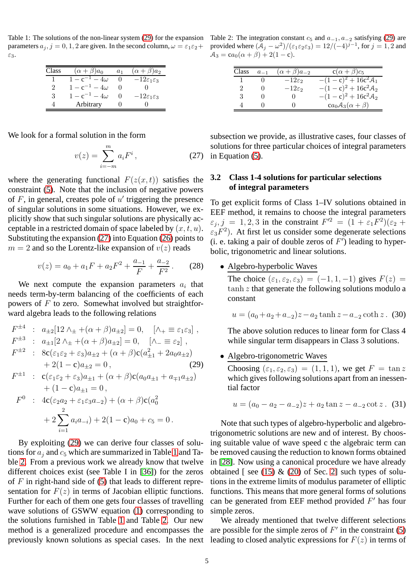<span id="page-4-2"></span>Table 1: The solutions of the non-linear system [\(29\)](#page-4-0) for the expansion parameters  $a_j$ ,  $j = 0, 1, 2$  are given. In the second column,  $\omega = \varepsilon_1 \varepsilon_2 + \varepsilon_3$ ε3.

| Class | $(\alpha + \beta)a_0$     | a <sub>1</sub> | $(\alpha + \beta)a_2$           |
|-------|---------------------------|----------------|---------------------------------|
|       | $4\omega$                 |                | $-12\varepsilon_1\varepsilon_3$ |
| 2     | $1 - c^{-1}$<br>$4\omega$ |                |                                 |
| 3     | $4\omega$                 |                | $-12\varepsilon_1\varepsilon_3$ |
| 4     | Arbitrary                 |                |                                 |

We look for a formal solution in the form

l.

<span id="page-4-1"></span>
$$
v(z) = \sum_{i=-m}^{m} a_i F^i, \qquad (27)
$$

where the generating functional  $F(z(x, t))$  satisfies the constraint [\(5\)](#page-1-3). Note that the inclusion of negative powers of  $F$ , in general, creates pole of  $u'$  triggering the presence of singular solutions in some situations. However, we explicitly show that such singular solutions are physically acceptable in a restricted domain of space labeled by  $(x, t, u)$ . Substituting the expansion [\(27\)](#page-4-1) into Equation [\(26\)](#page-3-3) points to  $m = 2$  and so the Lorentz-like expansion of  $v(z)$  reads

$$
v(z) = a_0 + a_1 F + a_2 F^2 + \frac{a_{-1}}{F} + \frac{a_{-2}}{F^2}.
$$
 (28)

We next compute the expansion parameters  $a_i$  that needs term-by-term balancing of the coefficients of each powers of  $F$  to zero. Somewhat involved but straightforward algebra leads to the following relations

<span id="page-4-0"></span>
$$
F^{\pm 4} : a_{\pm 2}[12 \wedge_{\pm} + (\alpha + \beta)a_{\pm 2}] = 0, \quad [\wedge_{+} \equiv \varepsilon_{1}\varepsilon_{3}],
$$
  
\n
$$
F^{\pm 3} : a_{\pm 1}[2 \wedge_{\pm} + (\alpha + \beta)a_{\pm 2}] = 0, \quad [\wedge_{-} \equiv \varepsilon_{2}],
$$
  
\n
$$
F^{\pm 2} : 8c(\varepsilon_{1}\varepsilon_{2} + \varepsilon_{3})a_{\pm 2} + (\alpha + \beta)c(a_{\pm 1}^{2} + 2a_{0}a_{\pm 2})
$$
  
\n
$$
+ 2(1 - c)a_{\pm 2} = 0,
$$
  
\n
$$
F^{\pm 1} : c(\varepsilon_{1}\varepsilon_{2} + \varepsilon_{3})a_{\pm 1} + (\alpha + \beta)c(a_{0}a_{\pm 1} + a_{\mp 1}a_{\pm 2})
$$
  
\n
$$
+ (1 - c)a_{\pm 1} = 0,
$$
  
\n
$$
F^{0} : 4c(\varepsilon_{2}a_{2} + \varepsilon_{1}\varepsilon_{3}a_{-2}) + (\alpha + \beta)c(a_{0}^{2})
$$
  
\n
$$
+ 2\sum_{i=1}^{2} a_{i}a_{-i} + 2(1 - c)a_{0} + c_{5} = 0.
$$

By exploiting [\(29\)](#page-4-0) we can derive four classes of solutions for  $a_i$  and  $c_5$  which are summarized in Table [1](#page-4-2) and Table [2.](#page-4-3) From a previous work we already know that twelve different choices exist (see Table I in [\[36\]](#page-8-12)) for the zeros of  $F$  in right-hand side of [\(5\)](#page-1-3) that leads to different representation for  $F(z)$  in terms of Jacobian elliptic functions. Further for each of them one gets four classes of travelling wave solutions of GSWW equation [\(1\)](#page-1-0) corresponding to the solutions furnished in Table [1](#page-4-2) and Table [2.](#page-4-3) Our new method is a generalized procedure and encompasses the previously known solutions as special cases. In the next

Table 2: The integration constant  $c_5$  and  $a_{-1}, a_{-2}$  satisfying [\(29\)](#page-4-0) are provided where  $(\mathcal{A}_j - \omega^2)/(\varepsilon_1 \varepsilon_2 \varepsilon_3) = 12/(-4)^{j-1}$ , for  $j = 1, 2$  and  $A_3 = ca_0(\alpha + \beta) + 2(1 - c).$ 

<span id="page-4-3"></span>

| Class | $a_{-1}$  | $(\alpha + \beta)a_{-2}$ | $c(\alpha+\beta)c_5$            |
|-------|-----------|--------------------------|---------------------------------|
|       | $\bigcap$ | $-12\varepsilon$         | $-(1-c)^2 + 16c^2A_1$           |
| 2     | $\cup$    | $-12\varepsilon$         | $-(1-c)^2 + 16c^2\mathcal{A}_2$ |
| 3     |           |                          | $-(1-c)^2 + 16c^2A_2$           |
|       |           |                          | $ca_0A_3(\alpha+\beta)$         |

subsection we provide, as illustrative cases, four classes of solutions for three particular choices of integral parameters in Equation [\(5\)](#page-1-3).

# **3.2 Class 1-4 solutions for particular selections of integral parameters**

To get explicit forms of Class 1–IV solutions obtained in EEF method, it remains to choose the integral parameters  $\varepsilon_j$ ,  $j = 1, 2, 3$  in the constraint  $F^2 = (1 + \varepsilon_1 F^2)(\varepsilon_2 +$  $\varepsilon_3 F^2$ ). At first let us consider some degenerate selections (i. e. taking a pair of double zeros of  $F'$ ) leading to hyperbolic, trigonometric and linear solutions.

• Algebro-hyperbolic Waves

The choice  $(\varepsilon_1, \varepsilon_2, \varepsilon_3) = (-1, 1, -1)$  gives  $F(z) =$  $tanh z$  that generate the following solutions modulo a constant

$$
u = (a_0 + a_2 + a_{-2})z - a_2 \tanh z - a_{-2} \coth z
$$
. (30)

The above solution reduces to linear form for Class 4 while singular term disappears in Class 3 solutions.

#### • Algebro-trigonometric Waves

Choosing  $(\varepsilon_1, \varepsilon_2, \varepsilon_3) = (1, 1, 1)$ , we get  $F = \tan z$ which gives following solutions apart from an inessential factor

$$
u = (a_0 - a_2 - a_{-2})z + a_2 \tan z - a_{-2} \cot z. (31)
$$

Note that such types of algebro-hyperbolic and algebrotrigonometric solutions are new and of interest. By choosing suitable value of wave speed c the algebraic term can be removed causing the reduction to known forms obtained in [\[28\]](#page-8-4). Now using a canonical procedure we have already obtained [ see [\(15\)](#page-3-4)  $\&$  [\(20\)](#page-3-5) of Sec. [2\]](#page-2-0) such types of solutions in the extreme limits of modulus parameter of elliptic functions. This means that more general forms of solutions can be generated from EEF method provided  $F'$  has four simple zeros.

We already mentioned that twelve different selections are possible for the simple zeros of  $F'$  in the constraint [\(5\)](#page-1-3) leading to closed analytic expressions for  $F(z)$  in terms of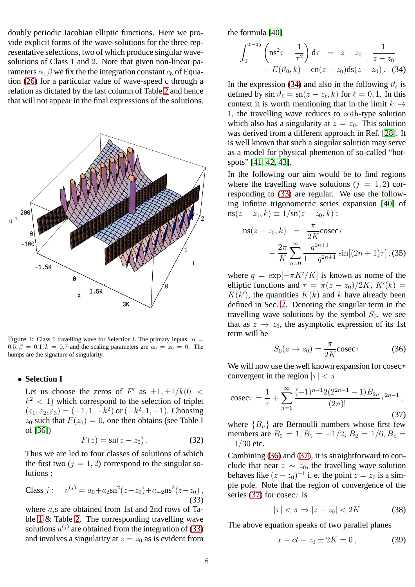doubly periodic Jacobian elliptic functions. Here we provide explicit forms of the wave-solutions for the three representative selections, two of which produce singular wavesolutions of Class 1 and 2. Note that given non-linear parameters  $\alpha$ ,  $\beta$  we fix the the integration constant  $c_5$  of Equation [\(26\)](#page-3-3) for a particular value of wave-speed c through a relation as dictated by the last column of Table [2](#page-4-3) and hence that will not appear in the final expressions of the solutions.



<span id="page-5-4"></span>Figure 1: Class 1 travelling wave for Selection I. The primary inputs:  $\alpha =$  $0.5, \beta = 0.1, k = 0.7$  and the scaling parameters are  $u_0 = z_0 = 0$ . The humps are the signature of singularity.

#### • **Selection I**

Let us choose the zeros of  $F'$  as  $\pm 1, \pm 1/k(0 <$  $k^2$  < 1) which correspond to the selection of triplet  $(\varepsilon_1, \varepsilon_2, \varepsilon_3) = (-1, 1, -k^2) \text{ or } (-k^2, 1, -1).$  Choosing  $z_0$  such that  $F(z_0) = 0$ , one then obtains (see Table I of [\[36\]](#page-8-12))

$$
F(z) = \operatorname{sn}(z - z_0). \tag{32}
$$

Thus we are led to four classes of solutions of which the first two  $(j = 1, 2)$  correspond to the singular solutions :

<span id="page-5-0"></span>Class j : 
$$
v^{(j)} = a_0 + a_2 \operatorname{sn}^2(z - z_0) + a_{-2} \operatorname{ns}^2(z - z_0)
$$
,  
(33)

where  $a_i$ s are obtained from 1st and 2nd rows of Table [1](#page-4-2) & Table [2.](#page-4-3) The corresponding travelling wave solutions  $u^{(j)}$  are obtained from the integration of [\(33\)](#page-5-0) and involves a singularity at  $z = z_0$  as is evident from the formula [\[40\]](#page-8-16)

<span id="page-5-1"></span>
$$
\int_0^{z-z_0} \left( \text{ns}^2 \tau - \frac{1}{\tau^2} \right) d\tau = z - z_0 + \frac{1}{z - z_0} - E(\vartheta_0, k) - \text{cn}(z - z_0) \text{ds}(z - z_0). \quad (34)
$$

In the expression [\(34\)](#page-5-1) and also in the following  $\vartheta_{\ell}$  is defined by  $\sin \vartheta_\ell = \text{sn}(z - z_\ell, k)$  for  $\ell = 0, 1$ . In this context it is worth mentioning that in the limit  $k \rightarrow$ 1, the travelling wave reduces to coth-type solution which also has a singularity at  $z = z_0$ . This solution was derived from a different approach in Ref. [\[28\]](#page-8-4). It is well known that such a singular solution may serve as a model for physical phemenon of so-called "hotspots" [\[41,](#page-8-17) [42,](#page-8-18) [43\]](#page-8-19).

In the following our aim would be to find regions where the travelling wave solutions  $(j = 1, 2)$  corresponding to [\(33\)](#page-5-0) are regular. We use the following infinite trigonometric series expansion [\[40\]](#page-8-16) of  $ns(z - z_0, k) \equiv 1/sn(z - z_0, k)$ :

ns(z - z<sub>0</sub>, k) = 
$$
\frac{\pi}{2K}
$$
 cosec $\tau$   
-\frac{2\pi}{K} \sum\_{n=0}^{\infty} \frac{q^{2n+1}}{1 - q^{2n+1}} \sin[(2n + 1)\tau], (35)

where  $q = \exp[-\pi K'/K]$  is known as nome of the elliptic functions and  $\tau = \pi(z - z_0)/2K$ ,  $K'(k) =$  $K(k')$ , the quantities  $K(k)$  and k have already been defined in Sec. [2.](#page-2-0) Denoting the singular term in the travelling wave solutions by the symbol  $S_0$ , we see that as  $z \rightarrow z_0$ , the asymptotic expression of its 1st term will be

<span id="page-5-2"></span>
$$
S_0(z \to z_0) = \frac{\pi}{2K} \csc \tau \tag{36}
$$

We will now use the well known expansion for cosec $\tau$ convergent in the region  $|\tau| < \pi$ 

<span id="page-5-3"></span>
$$
\csc \tau = \frac{1}{\tau} + \sum_{n=1}^{\infty} \frac{(-1)^{n-1} 2 (2^{2n-1} - 1) B_{2n}}{(2n)!} \tau^{2n-1},\tag{37}
$$

where  ${B_n}$  are Bernoulli numbers whose first few members are  $B_0 = 1, B_1 = -1/2, B_2 = 1/6, B_4 =$  $-1/30$  etc.

Combining [\(36\)](#page-5-2) and [\(37\)](#page-5-3), it is straightforward to conclude that near  $z \sim z_0$ , the travelling wave solution behaves like  $(z - z_0)^{-1}$  i. e. the point  $z = z_0$  is a simple pole. Note that the region of convergence of the series [\(37\)](#page-5-3) for cosec $\tau$  is

$$
|\tau| < \pi \Rightarrow |z - z_0| < 2K \tag{38}
$$

The above equation speaks of two parallel planes

$$
x - ct - z_0 \pm 2K = 0, \tag{39}
$$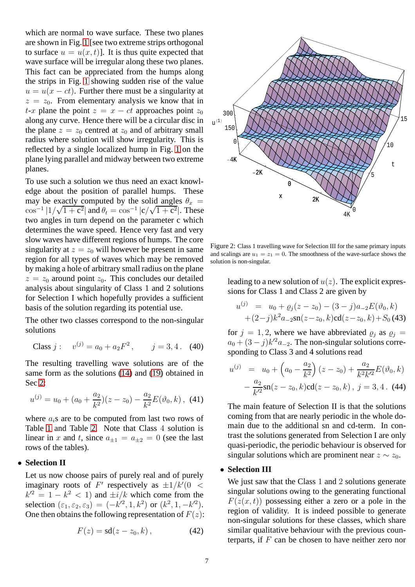which are normal to wave surface. These two planes are shown in Fig. [1](#page-5-4) [see two extreme strips orthogonal to surface  $u = u(x, t)$ . It is thus quite expected that wave surface will be irregular along these two planes. This fact can be appreciated from the humps along the strips in Fig. [1](#page-5-4) showing sudden rise of the value  $u = u(x - ct)$ . Further there must be a singularity at  $z = z_0$ . From elementary analysis we know that in t-x plane the point  $z = x - ct$  approaches point  $z_0$ along any curve. Hence there will be a circular disc in the plane  $z = z_0$  centred at  $z_0$  and of arbitrary small radius where solution will show irregularity. This is reflected by a single localized hump in Fig. [1](#page-5-4) on the plane lying parallel and midway between two extreme planes.

To use such a solution we thus need an exact knowledge about the position of parallel humps. These may be exactly computed by the solid angles  $\theta_x$  =  $\cos^{-1} |1/\sqrt{1+c^2}|$  and  $\theta_t = \cos^{-1} |c/\sqrt{1+c^2}|$ . These two angles in turn depend on the parameter c which determines the wave speed. Hence very fast and very slow waves have different regions of humps. The core singularity at  $z = z_0$  will however be present in same region for all types of waves which may be removed by making a hole of arbitrary small radius on the plane  $z = z_0$  around point  $z_0$ . This concludes our detailed analysis about singularity of Class 1 and 2 solutions for Selection I which hopefully provides a sufficient basis of the solution regarding its potential use.

The other two classes correspond to the non-singular solutions

Class 
$$
j: v^{(j)} = a_0 + a_2 F^2
$$
,  $j = 3, 4$ . (40)

The resulting travelling wave solutions are of the same form as the solutions [\(14\)](#page-2-5) and [\(19\)](#page-3-6) obtained in Sec [2:](#page-2-0)

$$
u^{(j)} = u_0 + (a_0 + \frac{a_2}{k^2})(z - z_0) - \frac{a_2}{k^2}E(\vartheta_0, k), \tag{41}
$$

where  $a_i$ s are to be computed from last two rows of Table [1](#page-4-2) and Table [2.](#page-4-3) Note that Class 4 solution is linear in x and t, since  $a_{+1} = a_{+2} = 0$  (see the last rows of the tables).

## • **Selection II**

Let us now choose pairs of purely real and of purely imaginary roots of  $F'$  respectively as  $\pm 1/k'(0 <$  $k'^2 = 1 - k^2 < 1$  and  $\pm i/k$  which come from the selection  $(\varepsilon_1, \varepsilon_2, \varepsilon_3) = (-k^2, 1, k^2)$  or  $(k^2, 1, -k^2)$ . One then obtains the following representation of  $F(z)$ :

$$
F(z) = \mathrm{sd}(z - z_0, k), \tag{42}
$$



<span id="page-6-0"></span>Figure 2: Class 1 travelling wave for Selection III for the same primary inputs and scalings are  $u_1 = z_1 = 0$ . The smoothness of the wave-surface shows the solution is non-singular.

leading to a new solution of  $u(z)$ . The explicit expressions for Class 1 and Class 2 are given by

$$
u^{(j)} = u_0 + \varrho_j(z - z_0) - (3 - j)a_{-2}E(\vartheta_0, k)
$$
  
+  $(2 - j)k^2 a_{-2} \operatorname{sn}(z - z_0, k) \operatorname{cd}(z - z_0, k) + S_0 (43)$ 

for  $j = 1, 2$ , where we have abbreviated  $\varrho_j$  as  $\varrho_j =$  $a_0 + (3 - j)k'^2 a_{-2}$ . The non-singular solutions corresponding to Class 3 and 4 solutions read

$$
u^{(j)} = u_0 + \left(a_0 - \frac{a_2}{k^2}\right)(z - z_0) + \frac{a_2}{k^2 k'^2} E(\vartheta_0, k)
$$

$$
- \frac{a_2}{k'^2} \operatorname{sn}(z - z_0, k) \operatorname{cd}(z - z_0, k), \ j = 3, 4. \ (44)
$$

The main feature of Selection II is that the solutions coming from that are nearly periodic in the whole domain due to the additional sn and cd-term. In contrast the solutions generated from Selection I are only quasi-periodic, the periodic behaviour is observed for singular solutions which are prominent near  $z \sim z_0$ .

### • **Selection III**

We just saw that the Class 1 and 2 solutions generate singular solutions owing to the generating functional  $F(z(x, t))$  possessing either a zero or a pole in the region of validity. It is indeed possible to generate non-singular solutions for these classes, which share similar qualitative behaviour with the previous counterparts, if  $F$  can be chosen to have neither zero nor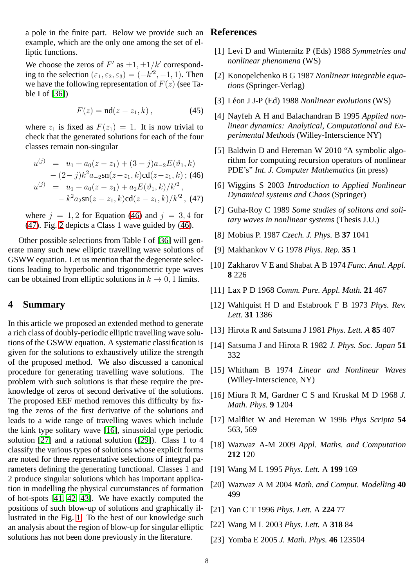a pole in the finite part. Below we provide such an **References** example, which are the only one among the set of elliptic functions.

We choose the zeros of  $F'$  as  $\pm 1, \pm 1/k'$  corresponding to the selection  $(\varepsilon_1, \varepsilon_2, \varepsilon_3) = (-k^2, -1, 1)$ . Then we have the following representation of  $F(z)$  (see Table I of [\[36\]](#page-8-12))

$$
F(z) = \mathrm{nd}(z - z_1, k), \tag{45}
$$

where  $z_1$  is fixed as  $F(z_1) = 1$ . It is now trivial to check that the generated solutions for each of the four classes remain non-singular

<span id="page-7-24"></span>
$$
u^{(j)} = u_1 + a_0(z - z_1) + (3 - j)a_{-2}E(\vartheta_1, k)
$$
  
\n
$$
- (2 - j)k^2 a_{-2} \operatorname{sn}(z - z_1, k) \operatorname{cd}(z - z_1, k);
$$
 (46)  
\n
$$
u^{(j)} = u_1 + a_0(z - z_1) + a_2 E(\vartheta_1, k) / k'^2,
$$
  
\n
$$
- k^2 a_2 \operatorname{sn}(z - z_1, k) \operatorname{cd}(z - z_1, k) / k'^2, \text{ (47)}
$$

where  $j = 1, 2$  for Equation [\(46\)](#page-7-24) and  $j = 3, 4$  for [\(47\)](#page-7-24). Fig. [2](#page-6-0) depicts a Class 1 wave guided by [\(46\)](#page-7-24).

Other possible selections from Table I of [\[36\]](#page-8-12) will generate many such new elliptic travelling wave solutions of GSWW equation. Let us mention that the degenerate selections leading to hyperbolic and trigonometric type waves can be obtained from elliptic solutions in  $k \to 0, 1$  limits.

# <span id="page-7-23"></span>**4 Summary**

In this article we proposed an extended method to generate a rich class of doubly-periodic elliptic travelling wave solutions of the GSWW equation. A systematic classification is given for the solutions to exhaustively utilize the strength of the proposed method. We also discussed a canonical procedure for generating travelling wave solutions. The problem with such solutions is that these require the preknowledge of zeros of second derivative of the solutions. The proposed EEF method removes this difficulty by fixing the zeros of the first derivative of the solutions and leads to a wide range of travelling waves which include the kink type solitary wave [\[16\]](#page-7-15), sinusoidal type periodic solution [\[27\]](#page-8-3) and a rational solution ([\[29\]](#page-8-5)). Class 1 to 4 classify the various types of solutions whose explicit forms are noted for three representative selections of integral parameters defining the generating functional. Classes 1 and 2 produce singular solutions which has important application in modelling the physical curcumstances of formation of hot-spots [\[41,](#page-8-17) [42,](#page-8-18) [43\]](#page-8-19). We have exactly computed the positions of such blow-up of solutions and graphically illustrated in the Fig. [1.](#page-5-4) To the best of our knowledge such an analysis about the region of blow-up for singular elliptic solutions has not been done previously in the literature.

- <span id="page-7-1"></span><span id="page-7-0"></span>[1] Levi D and Winternitz P (Eds) 1988 *Symmetries and nonlinear phenomena* (WS)
- [2] Konopelchenko B G 1987 *Nonlinear integrable equations* (Springer-Verlag)
- <span id="page-7-3"></span><span id="page-7-2"></span>[3] L´eon J J-P (Ed) 1988 *Nonlinear evolutions* (WS)
- [4] Nayfeh A H and Balachandran B 1995 *Applied nonlinear dynamics: Analytical, Computational and Experimental Methods* (Willey-Interscience NY)
- <span id="page-7-4"></span>[5] Baldwin D and Hereman W 2010 "A symbolic algorithm for computing recursion operators of nonlinear PDE's" *Int. J. Computer Mathematics* (in press)
- <span id="page-7-5"></span>[6] Wiggins S 2003 *Introduction to Applied Nonlinear Dynamical systems and Chaos* (Springer)
- <span id="page-7-7"></span><span id="page-7-6"></span>[7] Guha-Roy C 1989 *Some studies of solitons and solitary waves in nonlinear systems* (Thesis J.U.)
- <span id="page-7-8"></span>[8] Mobius P. 1987 *Czech. J. Phys.* B **37** 1041
- <span id="page-7-9"></span>[9] Makhankov V G 1978 *Phys. Rep.* **35** 1
- <span id="page-7-10"></span>[10] Zakharov V E and Shabat A B 1974 *Func. Anal. Appl.* **8** 226
- <span id="page-7-11"></span>[11] Lax P D 1968 *Comm. Pure. Appl. Math.* **21** 467
- <span id="page-7-12"></span>[12] Wahlquist H D and Estabrook F B 1973 *Phys. Rev. Lett.* **31** 1386
- <span id="page-7-13"></span>[13] Hirota R and Satsuma J 1981 *Phys. Lett. A* **85** 407
- <span id="page-7-14"></span>[14] Satsuma J and Hirota R 1982 *J. Phys. Soc. Japan* **51** 332
- [15] Whitham B 1974 *Linear and Nonlinear Waves* (Willey-Interscience, NY)
- <span id="page-7-15"></span>[16] Miura R M, Gardner C S and Kruskal M D 1968 *J. Math. Phys.* **9** 1204
- <span id="page-7-16"></span>[17] Malfliet W and Hereman W 1996 *Phys Scripta* **54** 563, 569
- <span id="page-7-18"></span><span id="page-7-17"></span>[18] Wazwaz A-M 2009 *Appl. Maths. and Computation* **212** 120
- <span id="page-7-19"></span>[19] Wang M L 1995 *Phys. Lett.* A **199** 169
- <span id="page-7-20"></span>[20] Wazwaz A M 2004 *Math. and Comput. Modelling* **40** 499
- <span id="page-7-21"></span>[21] Yan C T 1996 *Phys. Lett.* A **224** 77
- <span id="page-7-22"></span>[22] Wang M L 2003 *Phys. Lett.* A **318** 84
- [23] Yomba E 2005 *J. Math. Phys.* **46** 123504